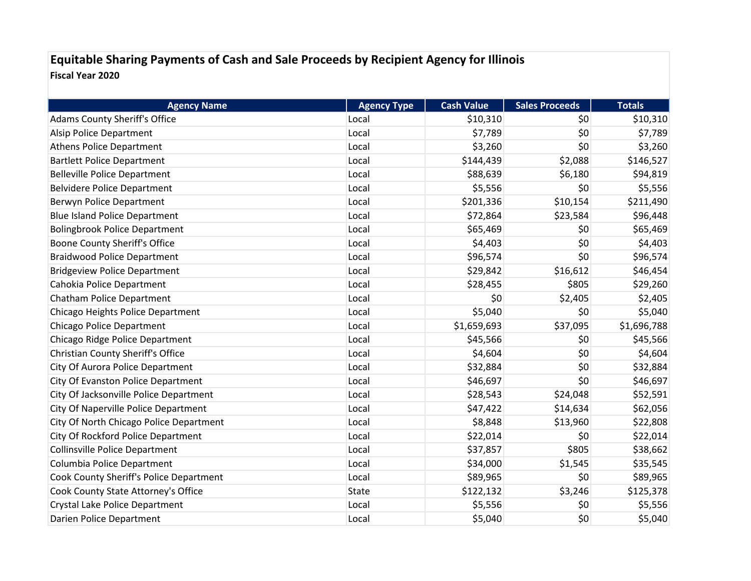## **Equitable Sharing Payments of Cash and Sale Proceeds by Recipient Agency for Illinois Fiscal Year 2020**

| <b>Agency Name</b>                       | <b>Agency Type</b> | <b>Cash Value</b> | <b>Sales Proceeds</b> | <b>Totals</b> |
|------------------------------------------|--------------------|-------------------|-----------------------|---------------|
| <b>Adams County Sheriff's Office</b>     | Local              | \$10,310          | \$0                   | \$10,310      |
| Alsip Police Department                  | Local              | \$7,789           | \$0                   | \$7,789       |
| <b>Athens Police Department</b>          | Local              | \$3,260           | \$0                   | \$3,260       |
| <b>Bartlett Police Department</b>        | Local              | \$144,439         | \$2,088               | \$146,527     |
| <b>Belleville Police Department</b>      | Local              | \$88,639          | \$6,180               | \$94,819      |
| <b>Belvidere Police Department</b>       | Local              | \$5,556           | \$0                   | \$5,556       |
| Berwyn Police Department                 | Local              | \$201,336         | \$10,154              | \$211,490     |
| <b>Blue Island Police Department</b>     | Local              | \$72,864          | \$23,584              | \$96,448      |
| <b>Bolingbrook Police Department</b>     | Local              | \$65,469          | \$0                   | \$65,469      |
| <b>Boone County Sheriff's Office</b>     | Local              | \$4,403           | \$0                   | \$4,403       |
| <b>Braidwood Police Department</b>       | Local              | \$96,574          | \$0                   | \$96,574      |
| <b>Bridgeview Police Department</b>      | Local              | \$29,842          | \$16,612              | \$46,454      |
| Cahokia Police Department                | Local              | \$28,455          | \$805                 | \$29,260      |
| Chatham Police Department                | Local              | \$0               | \$2,405               | \$2,405       |
| Chicago Heights Police Department        | Local              | \$5,040           | \$0                   | \$5,040       |
| <b>Chicago Police Department</b>         | Local              | \$1,659,693       | \$37,095              | \$1,696,788   |
| Chicago Ridge Police Department          | Local              | \$45,566          | \$0                   | \$45,566      |
| <b>Christian County Sheriff's Office</b> | Local              | \$4,604           | \$0                   | \$4,604       |
| City Of Aurora Police Department         | Local              | \$32,884          | \$0                   | \$32,884      |
| City Of Evanston Police Department       | Local              | \$46,697          | \$0                   | \$46,697      |
| City Of Jacksonville Police Department   | Local              | \$28,543          | \$24,048              | \$52,591      |
| City Of Naperville Police Department     | Local              | \$47,422          | \$14,634              | \$62,056      |
| City Of North Chicago Police Department  | Local              | \$8,848           | \$13,960              | \$22,808      |
| City Of Rockford Police Department       | Local              | \$22,014          | \$0                   | \$22,014      |
| <b>Collinsville Police Department</b>    | Local              | \$37,857          | \$805                 | \$38,662      |
| Columbia Police Department               | Local              | \$34,000          | \$1,545               | \$35,545      |
| Cook County Sheriff's Police Department  | Local              | \$89,965          | \$0                   | \$89,965      |
| Cook County State Attorney's Office      | State              | \$122,132         | \$3,246               | \$125,378     |
| Crystal Lake Police Department           | Local              | \$5,556           | \$0                   | \$5,556       |
| Darien Police Department                 | Local              | \$5,040           | \$0                   | \$5,040       |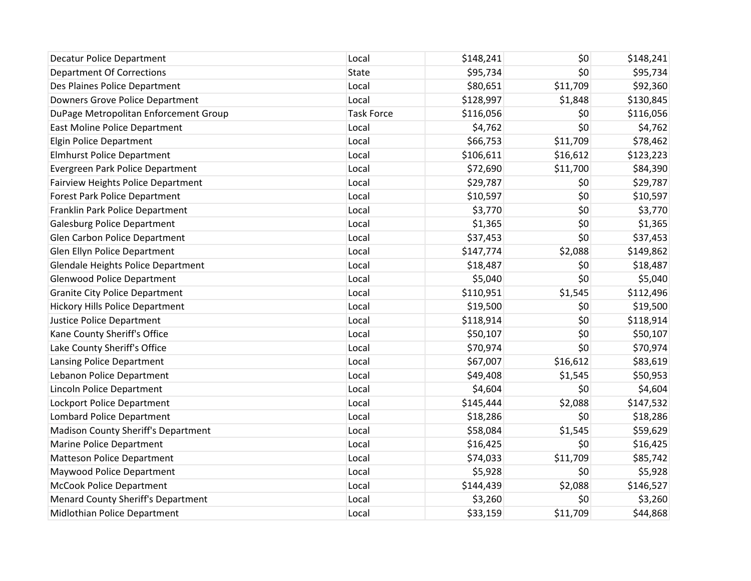| <b>Decatur Police Department</b>           | Local             | \$148,241 | \$0      | \$148,241 |
|--------------------------------------------|-------------------|-----------|----------|-----------|
| <b>Department Of Corrections</b>           | State             | \$95,734  | \$0      | \$95,734  |
| Des Plaines Police Department              | Local             | \$80,651  | \$11,709 | \$92,360  |
| Downers Grove Police Department            | Local             | \$128,997 | \$1,848  | \$130,845 |
| DuPage Metropolitan Enforcement Group      | <b>Task Force</b> | \$116,056 | \$0      | \$116,056 |
| East Moline Police Department              | Local             | \$4,762   | \$0      | \$4,762   |
| <b>Elgin Police Department</b>             | Local             | \$66,753  | \$11,709 | \$78,462  |
| <b>Elmhurst Police Department</b>          | Local             | \$106,611 | \$16,612 | \$123,223 |
| Evergreen Park Police Department           | Local             | \$72,690  | \$11,700 | \$84,390  |
| <b>Fairview Heights Police Department</b>  | Local             | \$29,787  | \$0      | \$29,787  |
| Forest Park Police Department              | Local             | \$10,597  | \$0      | \$10,597  |
| Franklin Park Police Department            | Local             | \$3,770   | \$0      | \$3,770   |
| <b>Galesburg Police Department</b>         | Local             | \$1,365   | \$0      | \$1,365   |
| Glen Carbon Police Department              | Local             | \$37,453  | \$0      | \$37,453  |
| Glen Ellyn Police Department               | Local             | \$147,774 | \$2,088  | \$149,862 |
| <b>Glendale Heights Police Department</b>  | Local             | \$18,487  | \$0      | \$18,487  |
| <b>Glenwood Police Department</b>          | Local             | \$5,040   | \$0      | \$5,040   |
| <b>Granite City Police Department</b>      | Local             | \$110,951 | \$1,545  | \$112,496 |
| <b>Hickory Hills Police Department</b>     | Local             | \$19,500  | \$0      | \$19,500  |
| <b>Justice Police Department</b>           | Local             | \$118,914 | \$0      | \$118,914 |
| Kane County Sheriff's Office               | Local             | \$50,107  | \$0      | \$50,107  |
| Lake County Sheriff's Office               | Local             | \$70,974  | \$0      | \$70,974  |
| Lansing Police Department                  | Local             | \$67,007  | \$16,612 | \$83,619  |
| Lebanon Police Department                  | Local             | \$49,408  | \$1,545  | \$50,953  |
| Lincoln Police Department                  | Local             | \$4,604   | \$0      | \$4,604   |
| Lockport Police Department                 | Local             | \$145,444 | \$2,088  | \$147,532 |
| Lombard Police Department                  | Local             | \$18,286  | \$0      | \$18,286  |
| <b>Madison County Sheriff's Department</b> | Local             | \$58,084  | \$1,545  | \$59,629  |
| <b>Marine Police Department</b>            | Local             | \$16,425  | \$0      | \$16,425  |
| <b>Matteson Police Department</b>          | Local             | \$74,033  | \$11,709 | \$85,742  |
| Maywood Police Department                  | Local             | \$5,928   | \$0      | \$5,928   |
| <b>McCook Police Department</b>            | Local             | \$144,439 | \$2,088  | \$146,527 |
| Menard County Sheriff's Department         | Local             | \$3,260   | \$0      | \$3,260   |
| Midlothian Police Department               | Local             | \$33,159  | \$11,709 | \$44,868  |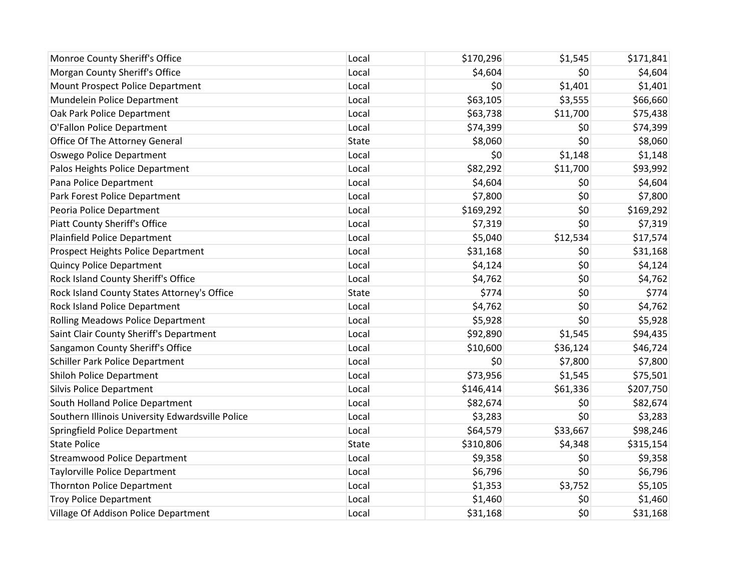| Monroe County Sheriff's Office                   | Local        | \$170,296 | \$1,545  | \$171,841 |
|--------------------------------------------------|--------------|-----------|----------|-----------|
| Morgan County Sheriff's Office                   | Local        | \$4,604   | \$0      | \$4,604   |
| Mount Prospect Police Department                 | Local        | \$0       | \$1,401  | \$1,401   |
| Mundelein Police Department                      | Local        | \$63,105  | \$3,555  | \$66,660  |
| Oak Park Police Department                       | Local        | \$63,738  | \$11,700 | \$75,438  |
| O'Fallon Police Department                       | Local        | \$74,399  | \$0      | \$74,399  |
| Office Of The Attorney General                   | <b>State</b> | \$8,060   | \$0      | \$8,060   |
| Oswego Police Department                         | Local        | \$0       | \$1,148  | \$1,148   |
| Palos Heights Police Department                  | Local        | \$82,292  | \$11,700 | \$93,992  |
| Pana Police Department                           | Local        | \$4,604   | \$0      | \$4,604   |
| Park Forest Police Department                    | Local        | \$7,800   | \$0      | \$7,800   |
| Peoria Police Department                         | Local        | \$169,292 | \$0      | \$169,292 |
| <b>Piatt County Sheriff's Office</b>             | Local        | \$7,319   | \$0      | \$7,319   |
| Plainfield Police Department                     | Local        | \$5,040   | \$12,534 | \$17,574  |
| Prospect Heights Police Department               | Local        | \$31,168  | \$0      | \$31,168  |
| <b>Quincy Police Department</b>                  | Local        | \$4,124   | \$0      | \$4,124   |
| Rock Island County Sheriff's Office              | Local        | \$4,762   | \$0      | \$4,762   |
| Rock Island County States Attorney's Office      | <b>State</b> | \$774     | \$0      | \$774     |
| Rock Island Police Department                    | Local        | \$4,762   | \$0      | \$4,762   |
| <b>Rolling Meadows Police Department</b>         | Local        | \$5,928   | \$0      | \$5,928   |
| Saint Clair County Sheriff's Department          | Local        | \$92,890  | \$1,545  | \$94,435  |
| Sangamon County Sheriff's Office                 | Local        | \$10,600  | \$36,124 | \$46,724  |
| Schiller Park Police Department                  | Local        | \$0       | \$7,800  | \$7,800   |
| <b>Shiloh Police Department</b>                  | Local        | \$73,956  | \$1,545  | \$75,501  |
| <b>Silvis Police Department</b>                  | Local        | \$146,414 | \$61,336 | \$207,750 |
| South Holland Police Department                  | Local        | \$82,674  | \$0      | \$82,674  |
| Southern Illinois University Edwardsville Police | Local        | \$3,283   | \$0      | \$3,283   |
| Springfield Police Department                    | Local        | \$64,579  | \$33,667 | \$98,246  |
| <b>State Police</b>                              | <b>State</b> | \$310,806 | \$4,348  | \$315,154 |
| <b>Streamwood Police Department</b>              | Local        | \$9,358   | \$0      | \$9,358   |
| <b>Taylorville Police Department</b>             | Local        | \$6,796   | \$0      | \$6,796   |
| <b>Thornton Police Department</b>                | Local        | \$1,353   | \$3,752  | \$5,105   |
| <b>Troy Police Department</b>                    | Local        | \$1,460   | \$0      | \$1,460   |
| Village Of Addison Police Department             | Local        | \$31,168  | \$0      | \$31,168  |